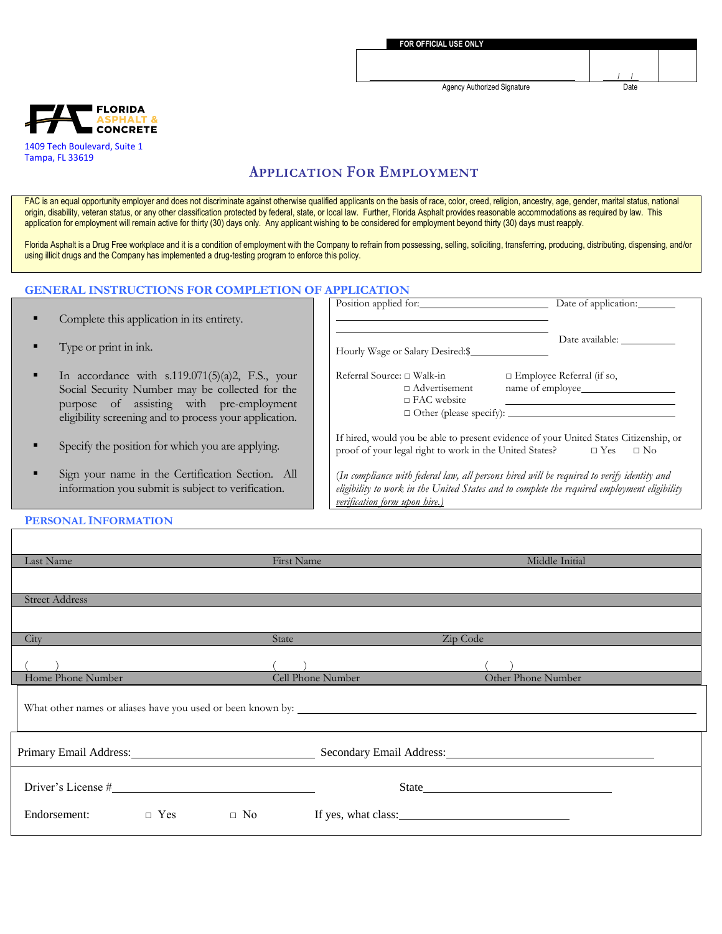|  | <b>FOR OFFICIAL USE ONLY</b> |  |
|--|------------------------------|--|
|  |                              |  |

Agency Authorized Signature Date

/ /



Tampa, FL 33619

## **APPLICATION FOR EMPLOYMENT**

FAC is an equal opportunity employer and does not discriminate against otherwise qualified applicants on the basis of race, color, creed, religion, ancestry, age, gender, marital status, national origin, disability, veteran status, or any other classification protected by federal, state, or local law. Further, Florida Asphalt provides reasonable accommodations as required by law. This application for employment will remain active for thirty (30) days only. Any applicant wishing to be considered for employment beyond thirty (30) days must reapply.

Florida Asphalt is a Drug Free workplace and it is a condition of employment with the Company to refrain from possessing, selling, soliciting, transferring, producing, distributing, dispensing, and/or using illicit drugs and the Company has implemented a drug-testing program to enforce this policy.

### **GENERAL INSTRUCTIONS FOR COMPLETION OF APPLICATION**

- Complete this application in its entirety.
- Type or print in ink.
- In accordance with s.119.071(5)(a)2, F.S., your Social Security Number may be collected for th purpose of assisting with pre-employmer eligibility screening and to process your application.
- Specify the position for which you are applying.
- Sign your name in the Certification Section. A information you submit is subject to verification.

### **PERSONAL INFORMATION**

| Position applied for:                                                    | Date of application:                                                                                                                                                        |
|--------------------------------------------------------------------------|-----------------------------------------------------------------------------------------------------------------------------------------------------------------------------|
| Hourly Wage or Salary Desired:\$                                         | Date available:                                                                                                                                                             |
| Referral Source: □ Walk-in<br>$\Box$ Advertisement<br>$\Box$ FAC website | $\Box$ Employee Referral (if so,<br>name of employee                                                                                                                        |
|                                                                          | $\Box$ Other (please specify): $\Box$                                                                                                                                       |
|                                                                          | If hired, would you be able to present evidence of your United States Citizenship, or<br>proof of your legal right to work in the United States? $\square$ Yes $\square$ No |
|                                                                          | (In compliance with federal law, all persons hired will be required to verify identity and                                                                                  |
| <i>verification form upon hire.</i> )                                    | eligibility to work in the United States and to complete the required employment eligibility                                                                                |

| Last Name                                                                | First Name          | Middle Initial     |
|--------------------------------------------------------------------------|---------------------|--------------------|
|                                                                          |                     |                    |
| <b>Street Address</b>                                                    |                     |                    |
|                                                                          |                     |                    |
| City                                                                     | Zip Code<br>State   |                    |
|                                                                          |                     |                    |
| Home Phone Number                                                        | Cell Phone Number   | Other Phone Number |
| What other names or aliases have you used or been known by:              |                     |                    |
| Primary Email Address: Secondary Email Address: Secondary Email Address: |                     |                    |
| Driver's License #                                                       |                     | State              |
| $\Box$ Yes<br>Endorsement:<br>$\Box$ No                                  | If yes, what class: |                    |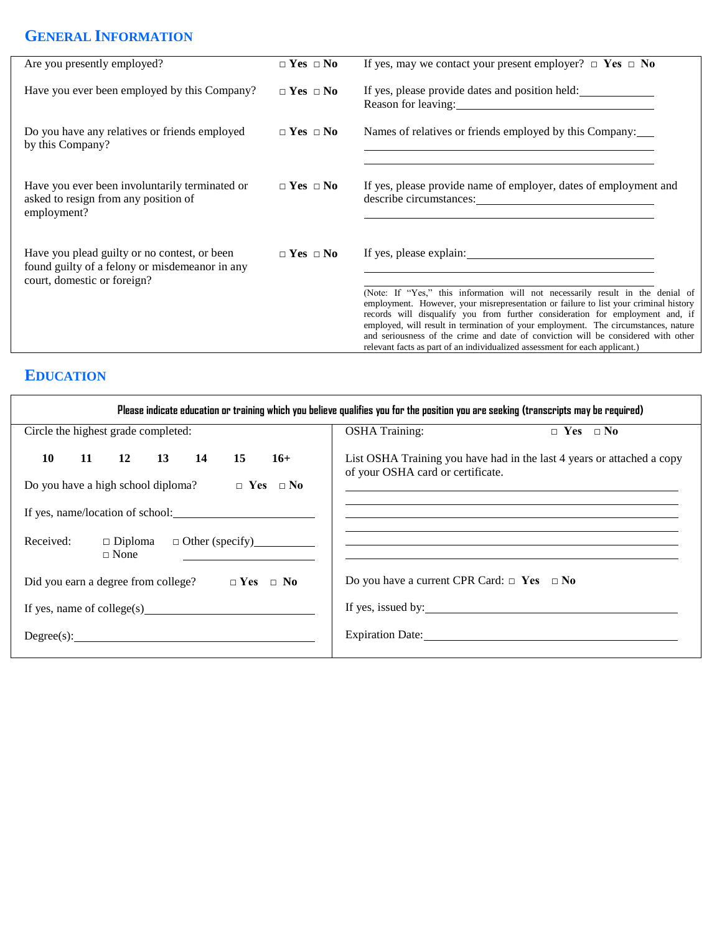# **GENERAL INFORMATION**

| Are you presently employed?                                                                                                   | $\Box$ Yes $\Box$ No | If yes, may we contact your present employer? $\Box$ Yes $\Box$ No                                                                                                                                                                                                                                                                                                                                                                                                                                                |
|-------------------------------------------------------------------------------------------------------------------------------|----------------------|-------------------------------------------------------------------------------------------------------------------------------------------------------------------------------------------------------------------------------------------------------------------------------------------------------------------------------------------------------------------------------------------------------------------------------------------------------------------------------------------------------------------|
| Have you ever been employed by this Company?                                                                                  | $\Box$ Yes $\Box$ No | If yes, please provide dates and position held:<br>Reason for leaving:                                                                                                                                                                                                                                                                                                                                                                                                                                            |
| Do you have any relatives or friends employed<br>by this Company?                                                             | $\Box$ Yes $\Box$ No | Names of relatives or friends employed by this Company:                                                                                                                                                                                                                                                                                                                                                                                                                                                           |
| Have you ever been involuntarily terminated or<br>asked to resign from any position of<br>employment?                         | $\Box$ Yes $\Box$ No | If yes, please provide name of employer, dates of employment and<br>describe circumstances:                                                                                                                                                                                                                                                                                                                                                                                                                       |
| Have you plead guilty or no contest, or been<br>found guilty of a felony or misdemeanor in any<br>court, domestic or foreign? | $\Box$ Yes $\Box$ No | If yes, please explain:                                                                                                                                                                                                                                                                                                                                                                                                                                                                                           |
|                                                                                                                               |                      | (Note: If "Yes," this information will not necessarily result in the denial of<br>employment. However, your misrepresentation or failure to list your criminal history<br>records will disqualify you from further consideration for employment and, if<br>employed, will result in termination of your employment. The circumstances, nature<br>and seriousness of the crime and date of conviction will be considered with other<br>relevant facts as part of an individualized assessment for each applicant.) |

# **EDUCATION**

|                                                                                                                                                                                                                                                                                                                                                              | Please indicate education or training which you believe qualifies you for the position you are seeking (transcripts may be required) |
|--------------------------------------------------------------------------------------------------------------------------------------------------------------------------------------------------------------------------------------------------------------------------------------------------------------------------------------------------------------|--------------------------------------------------------------------------------------------------------------------------------------|
| Circle the highest grade completed:                                                                                                                                                                                                                                                                                                                          | <b>OSHA Training:</b><br>$\Box$ Yes $\Box$ No                                                                                        |
| 10<br>$12 \t 13$<br>$16+$<br>14<br>15<br>11                                                                                                                                                                                                                                                                                                                  | List OSHA Training you have had in the last 4 years or attached a copy<br>of your OSHA card or certificate.                          |
| $\Box$ Yes $\Box$ No<br>Do you have a high school diploma?                                                                                                                                                                                                                                                                                                   |                                                                                                                                      |
| If yes, name/location of school:                                                                                                                                                                                                                                                                                                                             |                                                                                                                                      |
| Received:<br>$\Box$ Diploma<br>$\Box$ None                                                                                                                                                                                                                                                                                                                   |                                                                                                                                      |
| Did you earn a degree from college? $\Box$ Yes $\Box$ No                                                                                                                                                                                                                                                                                                     | Do you have a current CPR Card: $\Box$ Yes $\Box$ No                                                                                 |
| If yes, name of college(s) $\qquad \qquad$ $\qquad \qquad$ $\qquad \qquad$ $\qquad \qquad$ $\qquad \qquad$ $\qquad \qquad$ $\qquad \qquad$ $\qquad \qquad$ $\qquad \qquad$ $\qquad \qquad$ $\qquad$ $\qquad \qquad$ $\qquad \qquad$ $\qquad$ $\qquad$ $\qquad$ $\qquad$ $\qquad$ $\qquad$ $\qquad$ $\qquad$ $\qquad$ $\qquad$ $\qquad$ $\qquad$ $\qquad$ $\$ | If yes, issued by:                                                                                                                   |
|                                                                                                                                                                                                                                                                                                                                                              |                                                                                                                                      |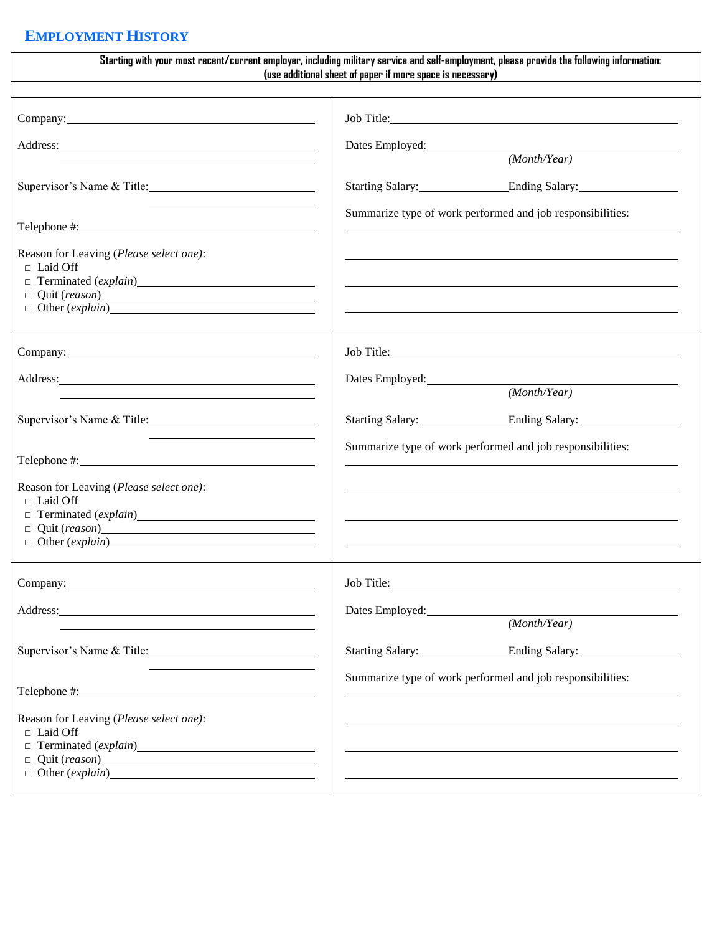# **EMPLOYMENT HISTORY**

|                                                                                                                                                                                                                                | Starting with your most recent/current employer, including military service and self-employment, please provide the following information:<br>(use additional sheet of paper if more space is necessary)                       |
|--------------------------------------------------------------------------------------------------------------------------------------------------------------------------------------------------------------------------------|--------------------------------------------------------------------------------------------------------------------------------------------------------------------------------------------------------------------------------|
|                                                                                                                                                                                                                                |                                                                                                                                                                                                                                |
| Company: Note and the company of the company of the company of the company of the company of the company of the company of the company of the company of the company of the company of the company of the company of the compa | Job Title:                                                                                                                                                                                                                     |
|                                                                                                                                                                                                                                | Dates Employed:<br>(Month/Year)                                                                                                                                                                                                |
| Supervisor's Name & Title:                                                                                                                                                                                                     | Starting Salary: Ending Salary: Ending Salary:                                                                                                                                                                                 |
| Telephone #: New York Changes and Telephone #:                                                                                                                                                                                 | Summarize type of work performed and job responsibilities:                                                                                                                                                                     |
| Reason for Leaving (Please select one):<br>$\Box$ Laid Off<br>$\Box$ Quit (reason)                                                                                                                                             |                                                                                                                                                                                                                                |
| Company: <u>company</u>                                                                                                                                                                                                        | Job Title: 2000 Contract 2000 Contract 2000 Contract 2000 Contract 2000 Contract 2000 Contract 2000 Contract 2000 Contract 2000 Contract 2000 Contract 2000 Contract 2000 Contract 2000 Contract 2000 Contract 2000 Contract 2 |
|                                                                                                                                                                                                                                | Dates Employed:<br>(Month/Year)                                                                                                                                                                                                |
| Supervisor's Name & Title: 1998                                                                                                                                                                                                | Starting Salary: Ending Salary: Ending Salary:                                                                                                                                                                                 |
| Telephone #: New York 2014                                                                                                                                                                                                     | Summarize type of work performed and job responsibilities:                                                                                                                                                                     |
| Reason for Leaving (Please select one):<br>$\Box$ Laid Off<br>$\Box$ Terminated (explain)<br>$\Box$<br>$\Box$ Quit (reason)<br>$\Box$ Other ( <i>explain</i> )                                                                 |                                                                                                                                                                                                                                |
| Company: Company:                                                                                                                                                                                                              | Job Title:<br><u> 1989 - John Stein, Amerikaansk politiker (</u> † 1920)                                                                                                                                                       |
|                                                                                                                                                                                                                                | Dates Employed:<br>(Month/Year)                                                                                                                                                                                                |
| Supervisor's Name & Title:                                                                                                                                                                                                     | Starting Salary: Ending Salary:                                                                                                                                                                                                |
|                                                                                                                                                                                                                                | Summarize type of work performed and job responsibilities:                                                                                                                                                                     |
| Reason for Leaving (Please select one):<br>$\Box$ Laid Off<br>$\Box$ Quit (reason)<br>$\Box$                                                                                                                                   |                                                                                                                                                                                                                                |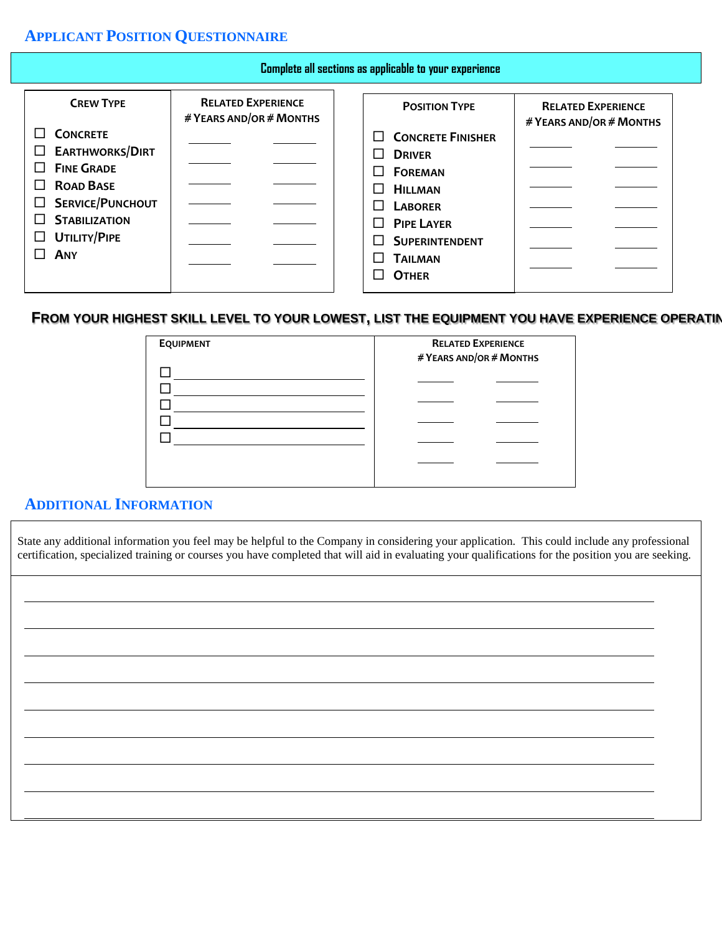# **APPLICANT POSITION QUESTIONNAIRE**

| Complete all sections as applicable to your experience |                                                      |                          |                                                      |
|--------------------------------------------------------|------------------------------------------------------|--------------------------|------------------------------------------------------|
| <b>CREW TYPE</b>                                       | <b>RELATED EXPERIENCE</b><br># YEARS AND/OR # MONTHS | <b>POSITION TYPE</b>     | <b>RELATED EXPERIENCE</b><br># YEARS AND/OR # MONTHS |
| <b>CONCRETE</b><br>$\mathbf{L}$                        |                                                      | <b>CONCRETE FINISHER</b> |                                                      |
| <b>EARTHWORKS/DIRT</b><br>$\Box$                       |                                                      | <b>DRIVER</b>            |                                                      |
| <b>FINE GRADE</b><br>П                                 |                                                      | <b>FOREMAN</b>           |                                                      |
| <b>ROAD BASE</b><br>$\perp$                            |                                                      | <b>HILLMAN</b>           |                                                      |
| <b>SERVICE/PUNCHOUT</b><br>$\Box$                      |                                                      | <b>LABORER</b>           |                                                      |
| <b>STABILIZATION</b><br>$\mathbf{L}$                   |                                                      | <b>PIPE LAYER</b>        |                                                      |
| <b>UTILITY/PIPE</b><br>$\Box$                          |                                                      | <b>SUPERINTENDENT</b>    |                                                      |
| ANY                                                    |                                                      | <b>TAILMAN</b>           |                                                      |
|                                                        |                                                      | <b>OTHER</b>             |                                                      |
|                                                        |                                                      |                          |                                                      |

### **FROM YOUR HIGHEST SKILL LEVEL TO YOUR LOWEST, LIST THE EQUIPMENT YOU HAVE EXPERIENCE OPERATING:**

| <b>EQUIPMENT</b> | <b>RELATED EXPERIENCE</b><br># YEARS AND/OR # MONTHS |  |
|------------------|------------------------------------------------------|--|
|                  |                                                      |  |
|                  |                                                      |  |
|                  |                                                      |  |
|                  |                                                      |  |
|                  |                                                      |  |
|                  |                                                      |  |

# **ADDITIONAL INFORMATION**

State any additional information you feel may be helpful to the Company in considering your application. This could include any professional certification, specialized training or courses you have completed that will aid in evaluating your qualifications for the position you are seeking.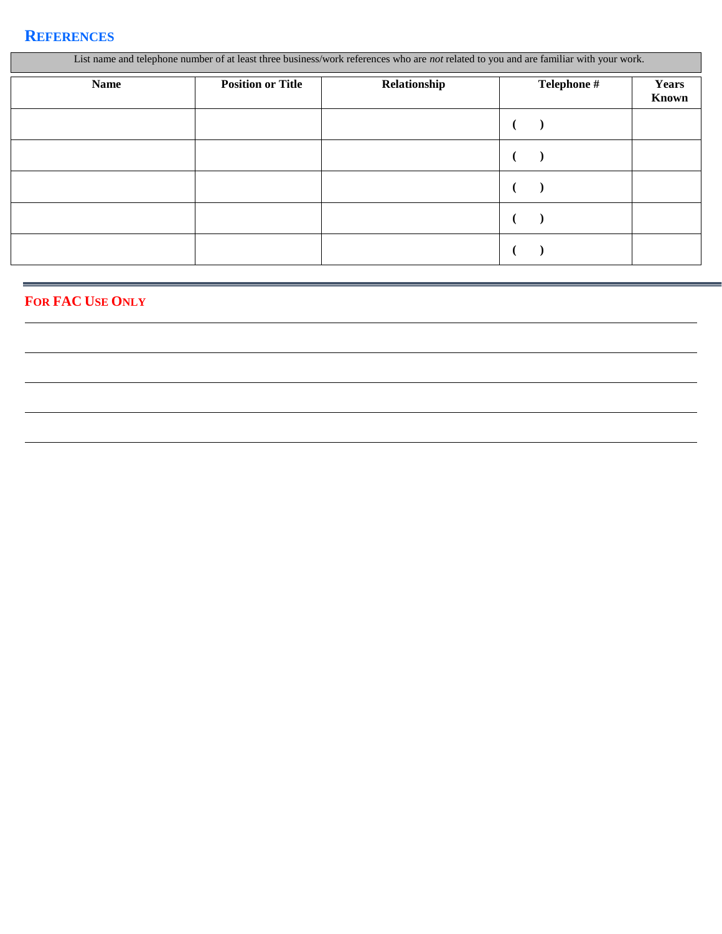## **REFERENCES**

| List name and telephone number of at least three business/work references who are not related to you and are familiar with your work. |                          |              |  |             |                |
|---------------------------------------------------------------------------------------------------------------------------------------|--------------------------|--------------|--|-------------|----------------|
| <b>Name</b>                                                                                                                           | <b>Position or Title</b> | Relationship |  | Telephone # | Years<br>Known |
|                                                                                                                                       |                          |              |  |             |                |
|                                                                                                                                       |                          |              |  |             |                |
|                                                                                                                                       |                          |              |  |             |                |
|                                                                                                                                       |                          |              |  |             |                |
|                                                                                                                                       |                          |              |  |             |                |

## FOR FAC USE ONLY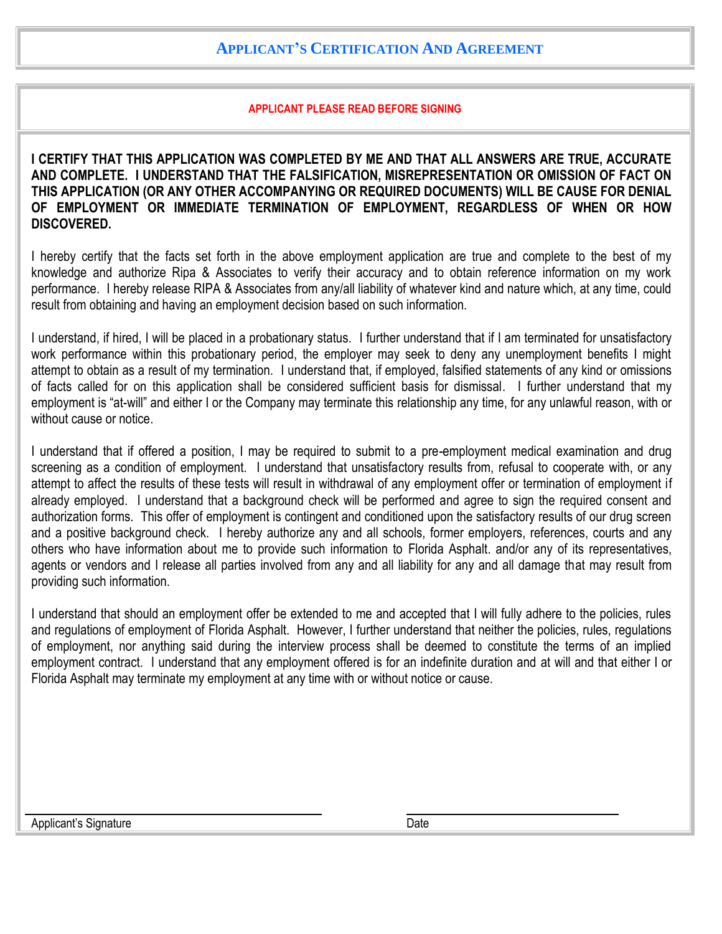## **APPLICANT'S CERTIFICATION AND AGREEMENT**

### **APPLICANT PLEASE READ BEFORE SIGNING**

### **I CERTIFY THAT THIS APPLICATION WAS COMPLETED BY ME AND THAT ALL ANSWERS ARE TRUE, ACCURATE AND COMPLETE. I UNDERSTAND THAT THE FALSIFICATION, MISREPRESENTATION OR OMISSION OF FACT ON THIS APPLICATION (OR ANY OTHER ACCOMPANYING OR REQUIRED DOCUMENTS) WILL BE CAUSE FOR DENIAL OF EMPLOYMENT OR IMMEDIATE TERMINATION OF EMPLOYMENT, REGARDLESS OF WHEN OR HOW DISCOVERED.**

I hereby certify that the facts set forth in the above employment application are true and complete to the best of my knowledge and authorize Ripa & Associates to verify their accuracy and to obtain reference information on my work performance. I hereby release RIPA & Associates from any/all liability of whatever kind and nature which, at any time, could result from obtaining and having an employment decision based on such information.

I understand, if hired, I will be placed in a probationary status. I further understand that if I am terminated for unsatisfactory work performance within this probationary period, the employer may seek to deny any unemployment benefits I might attempt to obtain as a result of my termination. I understand that, if employed, falsified statements of any kind or omissions of facts called for on this application shall be considered sufficient basis for dismissal. I further understand that my employment is "at-will" and either I or the Company may terminate this relationship any time, for any unlawful reason, with or without cause or notice.

I understand that if offered a position, I may be required to submit to a pre-employment medical examination and drug screening as a condition of employment. I understand that unsatisfactory results from, refusal to cooperate with, or any attempt to affect the results of these tests will result in withdrawal of any employment offer or termination of employment if already employed. I understand that a background check will be performed and agree to sign the required consent and authorization forms. This offer of employment is contingent and conditioned upon the satisfactory results of our drug screen and a positive background check. I hereby authorize any and all schools, former employers, references, courts and any others who have information about me to provide such information to Florida Asphalt. and/or any of its representatives, agents or vendors and I release all parties involved from any and all liability for any and all damage that may result from providing such information.

I understand that should an employment offer be extended to me and accepted that I will fully adhere to the policies, rules and regulations of employment of Florida Asphalt. However, I further understand that neither the policies, rules, regulations of employment, nor anything said during the interview process shall be deemed to constitute the terms of an implied employment contract. I understand that any employment offered is for an indefinite duration and at will and that either I or Florida Asphalt may terminate my employment at any time with or without notice or cause.